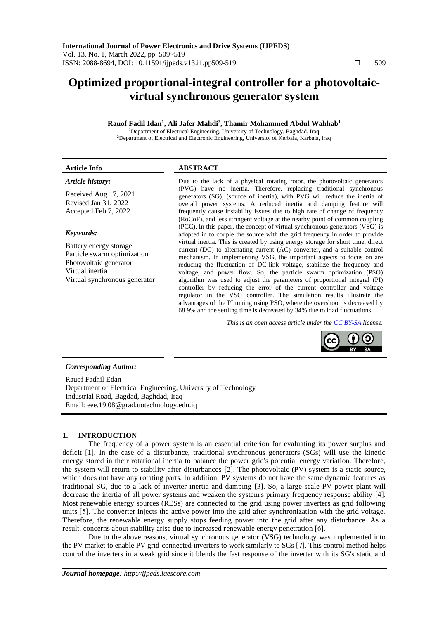# **Optimized proportional-integral controller for a photovoltaicvirtual synchronous generator system**

## **Rauof Fadil Idan<sup>1</sup> , Ali Jafer Mahdi<sup>2</sup> , Thamir Mohammed Abdul Wahhab<sup>1</sup>**

<sup>1</sup>Department of Electrical Engineering, University of Technology, Baghdad, Iraq <sup>2</sup>Department of Electrical and Electronic Engineering, University of Kerbala, Karbala, Iraq

#### **Article Info ABSTRACT** *Article history:* Received Aug 17, 2021 Revised Jan 31, 2022 Accepted Feb 7, 2022 Due to the lack of a physical rotating rotor, the photovoltaic generators (PVG) have no inertia. Therefore, replacing traditional synchronous generators (SG), (source of inertia), with PVG will reduce the inertia of overall power systems. A reduced inertia and damping feature will frequently cause instability issues due to high rate of change of frequency (RoCoF), and less stringent voltage at the nearby point of common coupling (PCC). In this paper, the concept of virtual synchronous generators (VSG) is *Keywords:*

Battery energy storage Particle swarm optimization Photovoltaic generator Virtual inertia Virtual synchronous generator

## adopted in to couple the source with the grid frequency in order to provide virtual inertia. This is created by using energy storage for short time, direct current (DC) to alternating current (AC) converter, and a suitable control mechanism. In implementing VSG, the important aspects to focus on are reducing the fluctuation of DC-link voltage, stabilize the frequency and voltage, and power flow. So, the particle swarm optimization (PSO) algorithm was used to adjust the parameters of proportional integral (PI) controller by reducing the error of the current controller and voltage regulator in the VSG controller. The simulation results illustrate the advantages of the PI tuning using PSO, where the overshoot is decreased by 68.9% and the settling time is decreased by 34% due to load fluctuations.

*This is an open access article under th[e CC BY-SA](https://creativecommons.org/licenses/by-sa/4.0/) license.*



## *Corresponding Author:*

Rauof Fadhil Edan Department of Electrical Engineering, University of Technology Industrial Road, Bagdad, Baghdad, Iraq Email: [eee.19.08@grad.uotechnology.edu.iq](mailto:eee.19.08@grad.uotechnology.edu.iq)

## **1. INTRODUCTION**

The frequency of a power system is an essential criterion for evaluating its power surplus and deficit [1]. In the case of a disturbance, traditional synchronous generators (SGs) will use the kinetic energy stored in their rotational inertia to balance the power grid's potential energy variation. Therefore, the system will return to stability after disturbances [2]. The photovoltaic (PV) system is a static source, which does not have any rotating parts. In addition, PV systems do not have the same dynamic features as traditional SG, due to a lack of inverter inertia and damping [3]. So, a large-scale PV power plant will decrease the inertia of all power systems and weaken the system's primary frequency response ability [4]. Most renewable energy sources (RESs) are connected to the grid using power inverters as grid following units [5]. The converter injects the active power into the grid after synchronization with the grid voltage. Therefore, the renewable energy supply stops feeding power into the grid after any disturbance. As a result, concerns about stability arise due to increased renewable energy penetration [6].

Due to the above reasons, virtual synchronous generator (VSG) technology was implemented into the PV market to enable PV grid-connected inverters to work similarly to SGs [7]. This control method helps control the inverters in a weak grid since it blends the fast response of the inverter with its SG's static and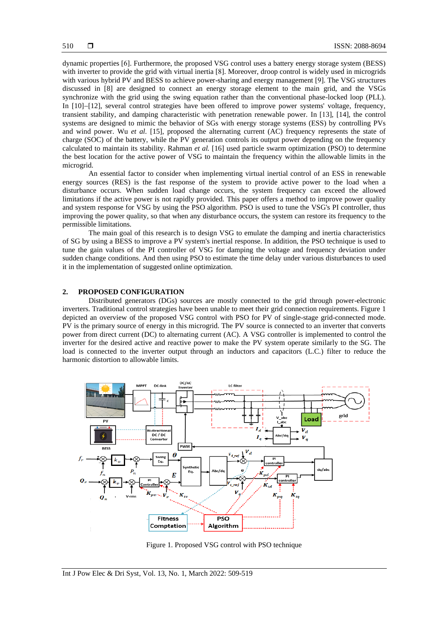dynamic properties [6]. Furthermore, the proposed VSG control uses a battery energy storage system (BESS) with inverter to provide the grid with virtual inertia [8]. Moreover, droop control is widely used in microgrids with various hybrid PV and BESS to achieve power-sharing and energy management [9]. The VSG structures discussed in [8] are designed to connect an energy storage element to the main grid, and the VSGs synchronize with the grid using the swing equation rather than the conventional phase-locked loop (PLL). In [10]−[12], several control strategies have been offered to improve power systems' voltage, frequency, transient stability, and damping characteristic with penetration renewable power. In [13], [14], the control systems are designed to mimic the behavior of SGs with energy storage systems (ESS) by controlling PVs and wind power. Wu *et al*. [15], proposed the alternating current (AC) frequency represents the state of charge (SOC) of the battery, while the PV generation controls its output power depending on the frequency calculated to maintain its stability. Rahman *et al.* [16] used particle swarm optimization (PSO) to determine the best location for the active power of VSG to maintain the frequency within the allowable limits in the microgrid.

An essential factor to consider when implementing virtual inertial control of an ESS in renewable energy sources (RES) is the fast response of the system to provide active power to the load when a disturbance occurs. When sudden load change occurs, the system frequency can exceed the allowed limitations if the active power is not rapidly provided. This paper offers a method to improve power quality and system response for VSG by using the PSO algorithm. PSO is used to tune the VSG's PI controller, thus improving the power quality, so that when any disturbance occurs, the system can restore its frequency to the permissible limitations.

The main goal of this research is to design VSG to emulate the damping and inertia characteristics of SG by using a BESS to improve a PV system's inertial response. In addition, the PSO technique is used to tune the gain values of the PI controller of VSG for damping the voltage and frequency deviation under sudden change conditions. And then using PSO to estimate the time delay under various disturbances to used it in the implementation of suggested online optimization.

### **2. PROPOSED CONFIGURATION**

Distributed generators (DGs) sources are mostly connected to the grid through power-electronic inverters. Traditional control strategies have been unable to meet their grid connection requirements. Figure 1 depicted an overview of the proposed VSG control with PSO for PV of single-stage grid-connected mode. PV is the primary source of energy in this microgrid. The PV source is connected to an inverter that converts power from direct current (DC) to alternating current (AC). A VSG controller is implemented to control the inverter for the desired active and reactive power to make the PV system operate similarly to the SG. The load is connected to the inverter output through an inductors and capacitors (L.C.) filter to reduce the harmonic distortion to allowable limits.



Figure 1. Proposed VSG control with PSO technique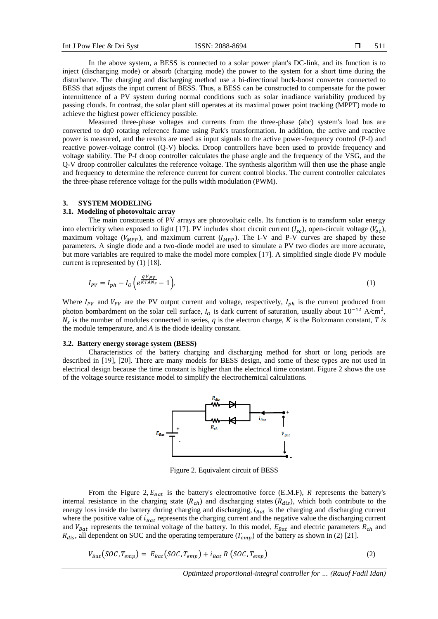In the above system, a BESS is connected to a solar power plant's DC-link, and its function is to inject (discharging mode) or absorb (charging mode) the power to the system for a short time during the disturbance. The charging and discharging method use a bi-directional buck-boost converter connected to BESS that adjusts the input current of BESS. Thus, a BESS can be constructed to compensate for the power intermittence of a PV system during normal conditions such as solar irradiance variability produced by passing clouds. In contrast, the solar plant still operates at its maximal power point tracking (MPPT) mode to achieve the highest power efficiency possible.

Measured three-phase voltages and currents from the three-phase (abc) system's load bus are converted to dq0 rotating reference frame using Park's transformation. In addition, the active and reactive power is measured, and the results are used as input signals to the active power-frequency control (P-f) and reactive power-voltage control (Q-V) blocks. Droop controllers have been used to provide frequency and voltage stability. The P-f droop controller calculates the phase angle and the frequency of the VSG, and the Q-V droop controller calculates the reference voltage. The synthesis algorithm will then use the phase angle and frequency to determine the reference current for current control blocks. The current controller calculates the three-phase reference voltage for the pulls width modulation (PWM).

#### **3. SYSTEM MODELING**

#### **3.1. Modeling of photovoltaic array**

The main constituents of PV arrays are photovoltaic cells. Its function is to transform solar energy into electricity when exposed to light [17]. PV includes short circuit current  $(I_{sc})$ , open-circuit voltage  $(V_{oc})$ , maximum voltage ( $V_{MPP}$ ), and maximum current ( $I_{MPP}$ ). The I-V and P-V curves are shaped by these parameters. A single diode and a two-diode model are used to simulate a PV two diodes are more accurate, but more variables are required to make the model more complex [17]. A simplified single diode PV module current is represented by (1) [18].

$$
I_{PV} = I_{ph} - I_0 \left( e^{\frac{qV_{PV}}{KTAN_s}} - 1 \right),\tag{1}
$$

Where  $I_{PV}$  and  $V_{PV}$  are the PV output current and voltage, respectively,  $I_{ph}$  is the current produced from photon bombardment on the solar cell surface,  $I_0$  is dark current of saturation, usually about 10<sup>-12</sup> A/cm<sup>2</sup>,  $N_s$  is the number of modules connected in series,  $q$  is the electron charge,  $K$  is the Boltzmann constant,  $T$  is the module temperature, and *A* is the diode ideality constant.

#### **3.2. Battery energy storage system (BESS)**

Characteristics of the battery charging and discharging method for short or long periods are described in [19], [20]. There are many models for BESS design, and some of these types are not used in electrical design because the time constant is higher than the electrical time constant. Figure 2 shows the use of the voltage source resistance model to simplify the electrochemical calculations.



Figure 2. Equivalent circuit of BESS

From the Figure 2,  $E_{Bat}$  is the battery's electromotive force (E.M.F), R represents the battery's internal resistance in the charging state  $(R<sub>ch</sub>)$  and discharging states  $(R<sub>dis</sub>)$ , which both contribute to the energy loss inside the battery during charging and discharging,  $i_{Bat}$  is the charging and discharging current where the positive value of  $i_{Bat}$  represents the charging current and the negative value the discharging current and  $V_{Bat}$  represents the terminal voltage of the battery. In this model,  $E_{Bat}$  and electric parameters  $R_{ch}$  and  $R_{dis}$ , all dependent on SOC and the operating temperature ( $T_{emp}$ ) of the battery as shown in (2) [21].

$$
V_{Bat}(SOC, T_{emp}) = E_{Bat}(SOC, T_{emp}) + i_{Bat} R(SOC, T_{emp})
$$
\n(2)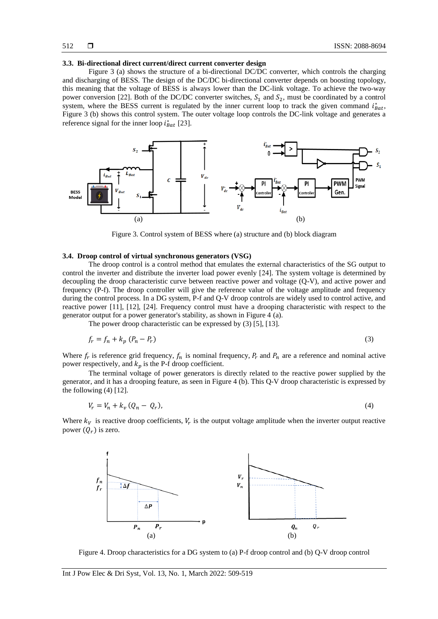#### **3.3. Bi-directional direct current/direct current converter design**

Figure 3 (a) shows the structure of a bi-directional DC/DC converter, which controls the charging and discharging of BESS. The design of the DC/DC bi-directional converter depends on boosting topology, this meaning that the voltage of BESS is always lower than the DC-link voltage. To achieve the two-way power conversion [22]. Both of the DC/DC converter switches,  $S_1$  and  $S_2$ , must be coordinated by a control system, where the BESS current is regulated by the inner current loop to track the given command  $i_{Bat}^*$ , Figure 3 (b) shows this control system. The outer voltage loop controls the DC-link voltage and generates a reference signal for the inner loop  $i_{Bat}^*$  [23].



Figure 3. Control system of BESS where (a) structure and (b) block diagram

#### **3.4. Droop control of virtual synchronous generators (VSG)**

The droop control is a control method that emulates the external characteristics of the SG output to control the inverter and distribute the inverter load power evenly [24]. The system voltage is determined by decoupling the droop characteristic curve between reactive power and voltage (Q-V), and active power and frequency (P-f). The droop controller will give the reference value of the voltage amplitude and frequency during the control process. In a DG system, P-f and Q-V droop controls are widely used to control active, and reactive power [11], [12], [24]. Frequency control must have a drooping characteristic with respect to the generator output for a power generator's stability, as shown in Figure 4 (a).

The power droop characteristic can be expressed by (3) [5], [13].

$$
f_r = f_n + k_p \left( P_n - P_r \right) \tag{3}
$$

Where  $f_r$  is reference grid frequency,  $f_n$  is nominal frequency,  $P_r$  and  $P_n$  are a reference and nominal active power respectively, and  $k_p$  is the P-f droop coefficient.

The terminal voltage of power generators is directly related to the reactive power supplied by the generator, and it has a drooping feature, as seen in Figure 4 (b). This Q-V droop characteristic is expressed by the following  $(4)$  [12].

$$
V_r = V_n + k_v (Q_n - Q_r), \tag{4}
$$

Where  $k_V$  is reactive droop coefficients,  $V_r$  is the output voltage amplitude when the inverter output reactive power  $(Q_r)$  is zero.



Figure 4. Droop characteristics for a DG system to (a) P-f droop control and (b) Q-V droop control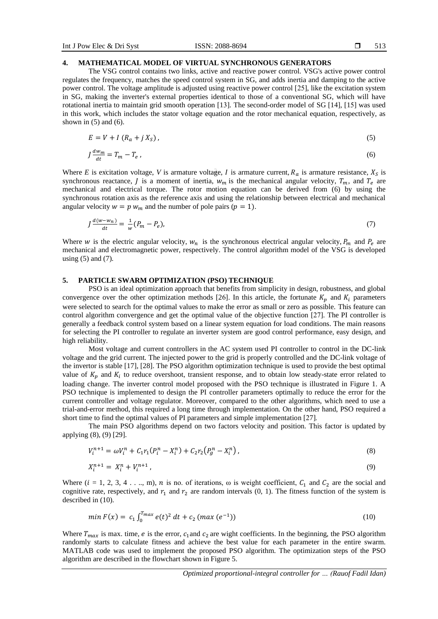#### **4. MATHEMATICAL MODEL OF VIRTUAL SYNCHRONOUS GENERATORS**

The VSG control contains two links, active and reactive power control. VSG's active power control regulates the frequency, matches the speed control system in SG, and adds inertia and damping to the active power control. The voltage amplitude is adjusted using reactive power control [25], like the excitation system in SG, making the inverter's external properties identical to those of a conventional SG, which will have rotational inertia to maintain grid smooth operation [13]. The second-order model of SG [14], [15] was used in this work, which includes the stator voltage equation and the rotor mechanical equation, respectively, as shown in  $(5)$  and  $(6)$ .

$$
E = V + I(R_a + jXS),
$$
\n<sup>(5)</sup>

$$
J\frac{dw_m}{dt} = T_m - T_e \,,\tag{6}
$$

Where *E* is excitation voltage, *V* is armature voltage, *I* is armature current,  $R_a$  is armature resistance,  $X_s$  is synchronous reactance, *J* is a moment of inertia,  $w_m$  is the mechanical angular velocity,  $T_m$ , and  $T_e$  are mechanical and electrical torque. The rotor motion equation can be derived from (6) by using the synchronous rotation axis as the reference axis and using the relationship between electrical and mechanical angular velocity  $w = p w_m$  and the number of pole pairs ( $p = 1$ ).

$$
J\frac{d(w-w_n)}{dt} = \frac{1}{w}(P_m - P_e),\tag{7}
$$

Where w is the electric angular velocity,  $w_n$  is the synchronous electrical angular velocity,  $P_m$  and  $P_e$  are mechanical and electromagnetic power, respectively. The control algorithm model of the VSG is developed using  $(5)$  and  $(7)$ .

#### **5. PARTICLE SWARM OPTIMIZATION (PSO) TECHNIQUE**

PSO is an ideal optimization approach that benefits from simplicity in design, robustness, and global convergence over the other optimization methods [26]. In this article, the fortunate  $K_p$  and  $K_i$  parameters were selected to search for the optimal values to make the error as small or zero as possible. This feature can control algorithm convergence and get the optimal value of the objective function [27]. The PI controller is generally a feedback control system based on a linear system equation for load conditions. The main reasons for selecting the PI controller to regulate an inverter system are good control performance, easy design, and high reliability.

Most voltage and current controllers in the AC system used PI controller to control in the DC-link voltage and the grid current. The injected power to the grid is properly controlled and the DC-link voltage of the invertor is stable [17], [28]. The PSO algorithm optimization technique is used to provide the best optimal value of  $K_p$  and  $K_i$  to reduce overshoot, transient response, and to obtain low steady-state error related to loading change. The inverter control model proposed with the PSO technique is illustrated in Figure 1. A PSO technique is implemented to design the PI controller parameters optimally to reduce the error for the current controller and voltage regulator. Moreover, compared to the other algorithms, which need to use a trial-and-error method, this required a long time through implementation. On the other hand, PSO required a short time to find the optimal values of PI parameters and simple implementation [27] .

The main PSO algorithms depend on two factors velocity and position. This factor is updated by applying (8), (9) [29].

$$
V_i^{n+1} = \omega V_i^n + C_1 r_1 (P_i^n - X_i^n) + C_2 r_2 (P_g^n - X_i^n), \qquad (8)
$$

$$
X_i^{n+1} = X_i^n + V_i^{n+1},\tag{9}
$$

Where  $(i = 1, 2, 3, 4, \ldots, m)$ , *n* is no. of iterations,  $\omega$  is weight coefficient,  $C_1$  and  $C_2$  are the social and cognitive rate, respectively, and  $r_1$  and  $r_2$  are random intervals (0, 1). The fitness function of the system is described in (10).

$$
min F(x) = c_1 \int_0^{T_{max}} e(t)^2 dt + c_2 (max (e^{-1}))
$$
\n(10)

Where  $T_{max}$  is max. time, e is the error,  $c_1$  and  $c_2$  are wight coefficients. In the beginning, the PSO algorithm randomly starts to calculate fitness and achieve the best value for each parameter in the entire swarm. MATLAB code was used to implement the proposed PSO algorithm. The optimization steps of the PSO algorithm are described in the flowchart shown in Figure 5.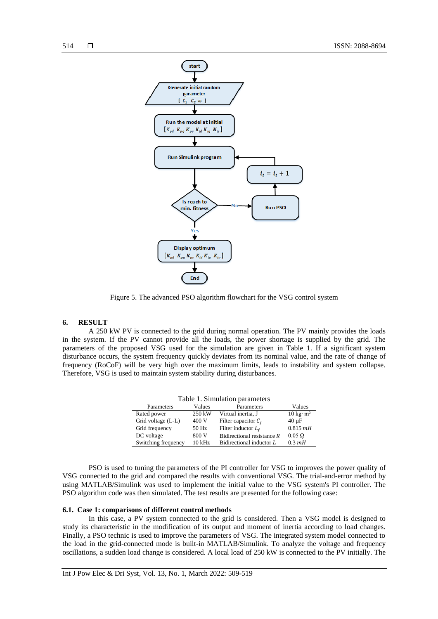

Figure 5. The advanced PSO algorithm flowchart for the VSG control system

### **6. RESULT**

A 250 kW PV is connected to the grid during normal operation. The PV mainly provides the loads in the system. If the PV cannot provide all the loads, the power shortage is supplied by the grid. The parameters of the proposed VSG used for the simulation are given in Table 1. If a significant system disturbance occurs, the system frequency quickly deviates from its nominal value, and the rate of change of frequency (RoCoF) will be very high over the maximum limits, leads to instability and system collapse. Therefore, VSG is used to maintain system stability during disturbances.

| Table 1. Simulation parameters |          |                              |                                  |  |  |  |  |
|--------------------------------|----------|------------------------------|----------------------------------|--|--|--|--|
| Parameters                     | Values   | Parameters                   | Values                           |  |  |  |  |
| Rated power                    | 250 kW   | Virtual inertia, J           | $10 \text{ kg} \cdot \text{m}^2$ |  |  |  |  |
| Grid voltage (L-L)             | 400 V    | Filter capacitor $C_f$       | $40 \mu F$                       |  |  |  |  |
| Grid frequency                 | 50 Hz    | Filter inductor $L_f$        | $0.815$ mH                       |  |  |  |  |
| DC voltage                     | 800 V    | Bidirectional resistance $R$ | $0.05 \Omega$                    |  |  |  |  |
| Switching frequency            | $10$ kHz | Bidirectional inductor L     | $0.3 \, mH$                      |  |  |  |  |

PSO is used to tuning the parameters of the PI controller for VSG to improves the power quality of VSG connected to the grid and compared the results with conventional VSG. The trial-and-error method by using MATLAB/Simulink was used to implement the initial value to the VSG system's PI controller. The PSO algorithm code was then simulated. The test results are presented for the following case:

### **6.1. Case 1: comparisons of different control methods**

In this case, a PV system connected to the grid is considered. Then a VSG model is designed to study its characteristic in the modification of its output and moment of inertia according to load changes. Finally, a PSO technic is used to improve the parameters of VSG. The integrated system model connected to the load in the grid-connected mode is built-in MATLAB/Simulink. To analyze the voltage and frequency oscillations, a sudden load change is considered. A local load of 250 kW is connected to the PV initially. The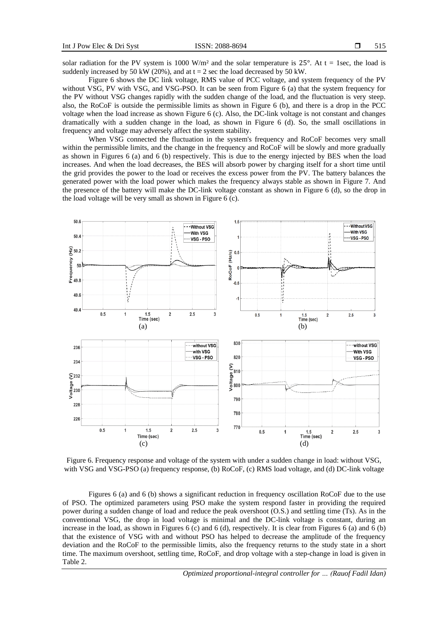solar radiation for the PV system is 1000 W/m<sup>2</sup> and the solar temperature is  $25^\circ$ . At t = 1sec, the load is suddenly increased by 50 kW (20%), and at  $t = 2$  sec the load decreased by 50 kW.

Figure 6 shows the DC link voltage, RMS value of PCC voltage, and system frequency of the PV without VSG, PV with VSG, and VSG-PSO. It can be seen from Figure 6 (a) that the system frequency for the PV without VSG changes rapidly with the sudden change of the load, and the fluctuation is very steep. also, the RoCoF is outside the permissible limits as shown in Figure 6 (b), and there is a drop in the PCC voltage when the load increase as shown Figure 6 (c). Also, the DC-link voltage is not constant and changes dramatically with a sudden change in the load, as shown in Figure 6 (d). So, the small oscillations in frequency and voltage may adversely affect the system stability.

When VSG connected the fluctuation in the system's frequency and RoCoF becomes very small within the permissible limits, and the change in the frequency and RoCoF will be slowly and more gradually as shown in Figures 6 (a) and 6 (b) respectively. This is due to the energy injected by BES when the load increases. And when the load decreases, the BES will absorb power by charging itself for a short time until the grid provides the power to the load or receives the excess power from the PV. The battery balances the generated power with the load power which makes the frequency always stable as shown in Figure 7. And the presence of the battery will make the DC-link voltage constant as shown in Figure 6 (d), so the drop in the load voltage will be very small as shown in Figure 6 (c).



Figure 6. Frequency response and voltage of the system with under a sudden change in load: without VSG, with VSG and VSG-PSO (a) frequency response, (b) RoCoF, (c) RMS load voltage, and (d) DC-link voltage

Figures 6 (a) and 6 (b) shows a significant reduction in frequency oscillation RoCoF due to the use of PSO. The optimized parameters using PSO make the system respond faster in providing the required power during a sudden change of load and reduce the peak overshoot (O.S.) and settling time (Ts). As in the conventional VSG, the drop in load voltage is minimal and the DC-link voltage is constant, during an increase in the load, as shown in Figures 6 (c) and 6 (d), respectively. It is clear from Figures 6 (a) and 6 (b) that the existence of VSG with and without PSO has helped to decrease the amplitude of the frequency deviation and the RoCoF to the permissible limits, also the frequency returns to the study state in a short time. The maximum overshoot, settling time, RoCoF, and drop voltage with a step-change in load is given in Table 2.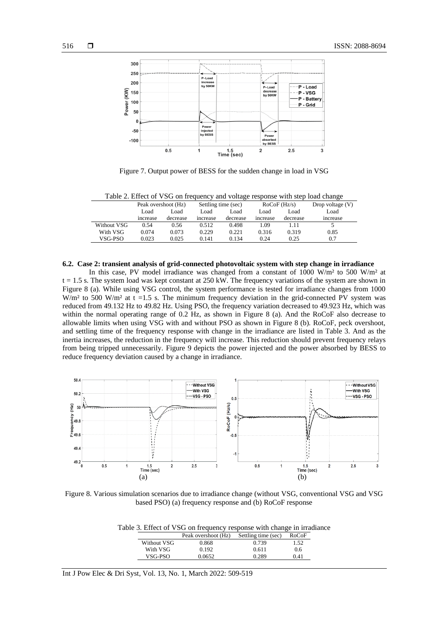

Figure 7. Output power of BESS for the sudden change in load in VSG

| Table 2. Effect of viser on frequency and voltage response with step load change |                     |          |                     |          |                |          |                    |  |  |
|----------------------------------------------------------------------------------|---------------------|----------|---------------------|----------|----------------|----------|--------------------|--|--|
|                                                                                  | Peak overshoot (Hz) |          | Settling time (sec) |          | $RoCoF$ (Hz/s) |          | Drop voltage $(V)$ |  |  |
|                                                                                  | Load                | Load     | Load                | Load     | Load           | Load     | Load               |  |  |
|                                                                                  | increase            | decrease | increase            | decrease | increase       | decrease | <i>ncrease</i>     |  |  |
| Without VSG                                                                      | 0.54                | 0.56     | 0.512               | 0.498    | 1.09           |          |                    |  |  |
| With VSG                                                                         | 0.074               | 0.073    | 0.229               | 0.221    | 0.316          | 0.319    | 0.85               |  |  |
| VSG-PSO-                                                                         | 0.023               | 0.025    | 0.141               | 0.134    | 0.24           | 0.25     | 0.7                |  |  |

Table 2. Effect of VSG on frequency and voltage response with step load change

#### **6.2. Case 2: transient analysis of grid-connected photovoltaic system with step change in irradiance**

In this case, PV model irradiance was changed from a constant of 1000 W/m<sup>2</sup> to 500 W/m<sup>2</sup> at  $t = 1.5$  s. The system load was kept constant at 250 kW. The frequency variations of the system are shown in Figure 8 (a). While using VSG control, the system performance is tested for irradiance changes from 1000 W/m<sup>2</sup> to 500 W/m<sup>2</sup> at t =1.5 s. The minimum frequency deviation in the grid-connected PV system was reduced from 49.132 Hz to 49.82 Hz. Using PSO, the frequency variation decreased to 49.923 Hz, which was within the normal operating range of 0.2 Hz, as shown in Figure 8 (a). And the RoCoF also decrease to allowable limits when using VSG with and without PSO as shown in Figure 8 (b). RoCoF, peck overshoot, and settling time of the frequency response with change in the irradiance are listed in Table 3. And as the inertia increases, the reduction in the frequency will increase. This reduction should prevent frequency relays from being tripped unnecessarily. Figure 9 depicts the power injected and the power absorbed by BESS to reduce frequency deviation caused by a change in irradiance.



Figure 8. Various simulation scenarios due to irradiance change (without VSG, conventional VSG and VSG based PSO) (a) frequency response and (b) RoCoF response

|  |  |  |  |  | Table 3. Effect of VSG on frequency response with change in irradiance |  |  |  |  |
|--|--|--|--|--|------------------------------------------------------------------------|--|--|--|--|
|--|--|--|--|--|------------------------------------------------------------------------|--|--|--|--|

| Without VSG | 0.868  | 1.52<br>0.739 |  |
|-------------|--------|---------------|--|
| With VSG    | 0.192  | 0.6<br>0.611  |  |
| VSG-PSO     | 0.0652 | 0.41<br>0.289 |  |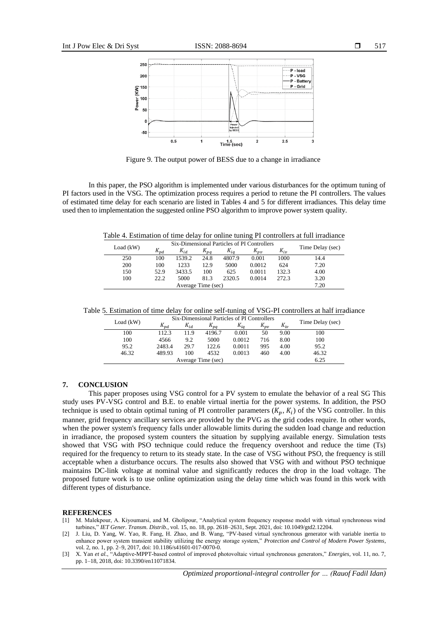

Figure 9. The output power of BESS due to a change in irradiance

In this paper, the PSO algorithm is implemented under various disturbances for the optimum tuning of PI factors used in the VSG. The optimization process requires a period to retune the PI controllers. The values of estimated time delay for each scenario are listed in Tables 4 and 5 for different irradiances. This delay time used then to implementation the suggested online PSO algorithm to improve power system quality.

Table 4. Estimation of time delay for online tuning PI controllers at full irradiance

| Six-Dimensional Particles of PI Controllers |          |          |          |          |              |          |                  |
|---------------------------------------------|----------|----------|----------|----------|--------------|----------|------------------|
| Load $(kW)$                                 | $K_{pd}$ | $K_{id}$ | $K_{pa}$ | $K_{ia}$ | $K_{\nu\nu}$ | $K_{iv}$ | Time Delay (sec) |
| 250                                         | 100      | 1539.2   | 24.8     | 4807.9   | 0.001        | 1000     | 14.4             |
| 200                                         | 100      | 1233     | 12.9     | 5000     | 0.0012       | 624      | 7.20             |
| 150                                         | 52.9     | 3433.5   | 100      | 625      | 0.0011       | 132.3    | 4.00             |
| 100                                         | 22.2     | 5000     | 81.3     | 2320.5   | 0.0014       | 272.3    | 3.20             |
| Average Time (sec)                          |          |          |          |          |              |          | 7.20             |

Table 5. Estimation of time delay for online self-tuning of VSG-PI controllers at half irradiance

|                    | Six-Dimensional Particles of PI Controllers |          |                |          |              |          |                  |
|--------------------|---------------------------------------------|----------|----------------|----------|--------------|----------|------------------|
| Load $(kW)$        | $K_{pd}$                                    | $K_{id}$ | $\Lambda_{pq}$ | $K_{ia}$ | $K_{\nu\nu}$ | $K_{iv}$ | Time Delay (sec) |
| 100                | 112.3                                       | 11.9     | 4196.7         | 0.001    | 50           | 9.00     | 100              |
| 100                | 4566                                        | 9.2      | 5000           | 0.0012   | 716          | 8.00     | 100              |
| 95.2               | 2483.4                                      | 29.7     | 122.6          | 0.0011   | 995          | 4.00     | 95.2             |
| 46.32              | 489.93                                      | 100      | 4532           | 0.0013   | 460          | 4.00     | 46.32            |
| Average Time (sec) |                                             |          |                |          |              |          | 6.25             |

#### **7. CONCLUSION**

This paper proposes using VSG control for a PV system to emulate the behavior of a real SG This study uses PV-VSG control and B.E. to enable virtual inertia for the power systems. In addition, the PSO technique is used to obtain optimal tuning of PI controller parameters  $(K_p, K_i)$  of the VSG controller. In this manner, grid frequency ancillary services are provided by the PVG as the grid codes require. In other words, when the power system's frequency falls under allowable limits during the sudden load change and reduction in irradiance, the proposed system counters the situation by supplying available energy. Simulation tests showed that VSG with PSO technique could reduce the frequency overshoot and reduce the time (Ts) required for the frequency to return to its steady state. In the case of VSG without PSO, the frequency is still acceptable when a disturbance occurs. The results also showed that VSG with and without PSO technique maintains DC-link voltage at nominal value and significantly reduces the drop in the load voltage. The proposed future work is to use online optimization using the delay time which was found in this work with different types of disturbance.

#### **REFERENCES**

[1] M. Malekpour, A. Kiyoumarsi, and M. Gholipour, "Analytical system frequency response model with virtual synchronous wind turbines," *IET Gener. Transm. Distrib.*, vol. 15, no. 18, pp. 2618–2631, Sept. 2021, doi: 10.1049/gtd2.12204.

[2] J. Liu, D. Yang, W. Yao, R. Fang, H. Zhao, and B. Wang, "PV-based virtual synchronous generator with variable inertia to enhance power system transient stability utilizing the energy storage system," *Protection and Control of Modern Power Systems*, vol. 2, no. 1, pp. 2–9, 2017, doi: 10.1186/s41601-017-0070-0.

[3] X. Yan *et al.*, "Adaptive-MPPT-based control of improved photovoltaic virtual synchronous generators," *Energies*, vol. 11, no. 7, pp. 1–18, 2018, doi: 10.3390/en11071834.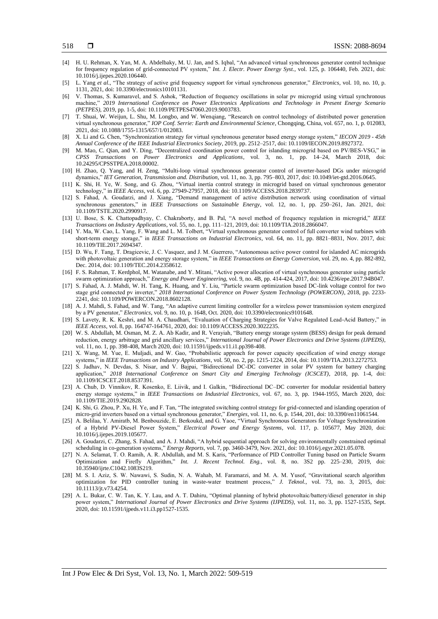- [4] H. U. Rehman, X. Yan, M. A. Abdelbaky, M. U. Jan, and S. Iqbal, "An advanced virtual synchronous generator control technique for frequency regulation of grid-connected PV system," *Int. J. Electr. Power Energy Syst.*, vol. 125, p. 106440, Feb. 2021, doi: 10.1016/j.ijepes.2020.106440.
- [5] L. Yang *et al*., "The strategy of active grid frequency support for virtual synchronous generator," *Electronics*, vol. 10, no. 10, p. 1131, 2021, doi: 10.3390/electronics10101131.
- [6] V. Thomas, S. Kumaravel, and S. Ashok, "Reduction of frequency oscillations in solar pv microgrid using virtual synchronous machine," *2019 International Conference on Power Electronics Applications and Technology in Present Energy Scenario (PETPES)*, 2019, pp. 1-5, doi: 10.1109/PETPES47060.2019.9003783.
- [7] T. Shuai, W. Weijun, L. Shu, M. Longbo, and W. Wenqiang, "Research on control technology of distributed power generation virtual synchronous generator," *IOP Conf. Serrie: Earth and Environmental Science*, Chongqing, China, vol. 657, no. 1, p. 012083, 2021, doi: 10.1088/1755-1315/657/1/012083.
- [8] X. Li and G. Chen, "Synchronization strategy for virtual synchronous generator based energy storage system," *IECON 2019 - 45th Annual Conference of the IEEE Industrial Electronics Society*, 2019, pp. 2512–2517, doi: 10.1109/IECON.2019.8927372.
- [9] M. Mao, C. Qian, and Y. Ding, "Decentralized coordination power control for islanding microgrid based on PV/BES-VSG," in *CPSS Transactions on Power Electronics and Applications*, vol. 3, no. 1, pp. 14–24, March 2018, doi: 10.24295/CPSSTPEA.2018.00002.
- [10] H. Zhao, Q. Yang, and H. Zeng, "Multi-loop virtual synchronous generator control of inverter-based DGs under microgrid dynamics," *IET Generation, Transmission and. Distribution*, vol. 11, no. 3, pp. 795–803, 2017, doi: 10.1049/iet-gtd.2016.0645.
- [11] K. Shi, H. Ye, W. Song, and G. Zhou, "Virtual inertia control strategy in microgrid based on virtual synchronous generator technology," in *IEEE Access*, vol. 6, pp. 27949-27957, 2018, doi: 10.1109/ACCESS.2018.2839737.
- [12] S. Fahad, A. Goudarzi, and J. Xiang, "Demand management of active distribution network using coordination of virtual synchronous generators," in *IEEE Transactions on Sustainable Energy*, vol. 12, no. 1, pp. 250–261, Jan. 2021, doi: 10.1109/TSTE.2020.2990917.
- [13] U. Bose, S. K. Chattopadhyay, C. Chakraborty, and B. Pal, "A novel method of frequency regulation in microgrid," *IEEE Transactions on Industry Applications*, vol. 55, no. 1, pp. 111–121, 2019, doi: 10.1109/TIA.2018.2866047.
- [14] Y. Ma, W. Cao, L. Yang, F. Wang and L. M. Tolbert, "Virtual synchronous generator control of full converter wind turbines with short-term energy storage," in *IEEE Transactions on Industrial Electronics*, vol. 64, no. 11, pp. 8821–8831, Nov. 2017, doi: 10.1109/TIE.2017.2694347.
- [15] D. Wu, F. Tang, T. Dragicevic, J. C. Vasquez, and J. M. Guerrero, "Autonomous active power control for islanded AC microgrids with photovoltaic generation and energy storage system," in *IEEE Transactions on Energy Conversion*, vol. 29, no. 4, pp. 882-892, Dec. 2014, doi: 10.1109/TEC.2014.2358612.
- [16] F. S. Rahman, T. Kerdphol, M. Watanabe, and Y. Mitani, "Active power allocation of virtual synchronous generator using particle swarm optimization approach," *Energy and Power Engineering*, vol. 9, no. 4B, pp. 414-424, 2017, doi: 10.4236/epe.2017.94B047.
- [17] S. Fahad, A. J. Mahdi, W. H. Tang, K. Huang, and Y. Liu, "Particle swarm optimization based DC-link voltage control for two stage grid connected pv inverter," *2018 International Conference on Power System Technology (POWERCON)*, 2018, pp. 2233- 2241, doi: 10.1109/POWERCON.2018.8602128.
- [18] A. J. Mahdi, S. Fahad, and W. Tang, "An adaptive current limiting controller for a wireless power transmission system energized by a PV generator," *Electronics*, vol. 9, no. 10, p. 1648, Oct. 2020, doi: 10.3390/electronics9101648.
- [19] S. Lavety, R. K. Keshri, and M. A. Chaudhari, "Evaluation of Charging Strategies for Valve Regulated Lead-Acid Battery," in *IEEE Access*, vol. 8, pp. 164747-164761, 2020, doi: 10.1109/ACCESS.2020.3022235.
- [20] W. S. Abdullah, M. Osman, M. Z. A. Ab Kadir, and R. Verayiah, "Battery energy storage system (BESS) design for peak demand reduction, energy arbitrage and grid ancillary services," *International Journal of Power Electronics and Drive Systems (IJPEDS)*, vol. 11, no. 1, pp. 398-408, March 2020, doi: 10.11591/ijpeds.v11.i1.pp398-408.
- [21] X. Wang, M. Yue, E. Muljadi, and W. Gao, "Probabilistic approach for power capacity specification of wind energy storage systems," in *IEEE Transactions on Industry Applications*, vol. 50, no. 2, pp. 1215-1224, 2014, doi: 10.1109/TIA.2013.2272753.
- [22] S. Jadhav, N. Devdas, S. Nisar, and V. Bajpai, "Bidirectional DC-DC converter in solar PV system for battery charging application," *2018 International Conference on Smart City and Emerging Technology (ICSCET)*, 2018, pp. 1-4, doi: 10.1109/ICSCET.2018.8537391.
- [23] A. Chub, D. Vinnikov, R. Kosenko, E. Liivik, and I. Galkin, "Bidirectional DC–DC converter for modular residential battery energy storage systems," in *IEEE Transactions on Industrial Electronics*, vol. 67, no. 3, pp. 1944-1955, March 2020, doi: 10.1109/TIE.2019.2902828.
- [24] K. Shi, G. Zhou, P. Xu, H. Ye, and F. Tan, "The integrated switching control strategy for grid-connected and islanding operation of micro-grid inverters based on a virtual synchronous generator," *Energies*, vol. 11, no. 6, p. 1544, 201, doi: 10.3390/en11061544.
- [25] A. Belilaa, Y. Amiratb, M. Benbouzidc, E. Berkoukd, and G. Yaoe, "Virtual Synchronous Generators for Voltage Synchronization of a Hybrid PV-Diesel Power System," *Electrical Power and Energy Systems*, vol. 117, p. 105677, May 2020, doi: 10.1016/j.ijepes.2019.105677.
- [26] A. Goudarzi, C. Zhang, S. Fahad, and A. J. Mahdi, "A hybrid sequential approach for solving environmentally constrained optimal scheduling in co-generation systems," *[Energy Reports](https://www.sciencedirect.com/science/journal/23524847)*, vol. 7, pp. 3460-3479, Nov. 2021, doi: 10.1016/j.egyr.2021.05.078.
- [27] N. A. Selamat, T. O. Ramih, A. R. Abdullah, and M. S. Karis, "Performance of PID Controller Tuning based on Particle Swarm Optimization and Firefly Algorithm," *Int. J. Recent Technol. Eng.*, vol. 8, no. 3S2 pp. 225–230, 2019, doi: 10.35940/ijrte.C1042.1083S219.
- [28] M. S. I. Aziz, S. W. Nawawi, S. Sudin, N. A. Wahab, M. Faramarzi, and M. A. M. Yusof, "Gravitational search algorithm optimization for PID controller tuning in waste-water treatment process," *J. Teknol.*, vol. 73, no. 3, 2015, doi: 10.11113/jt.v73.4254.
- [29] A. L. Bukar, C. W. Tan, K. Y. Lau, and A. T. Dahiru, "Optimal planning of hybrid photovoltaic/battery/diesel generator in ship power system," *International Journal of Power Electronics and Drive Systems (IJPEDS)*, vol. 11, no. 3, pp. 1527-1535, Sept. 2020, doi: 10.11591/ijpeds.v11.i3.pp1527-1535.